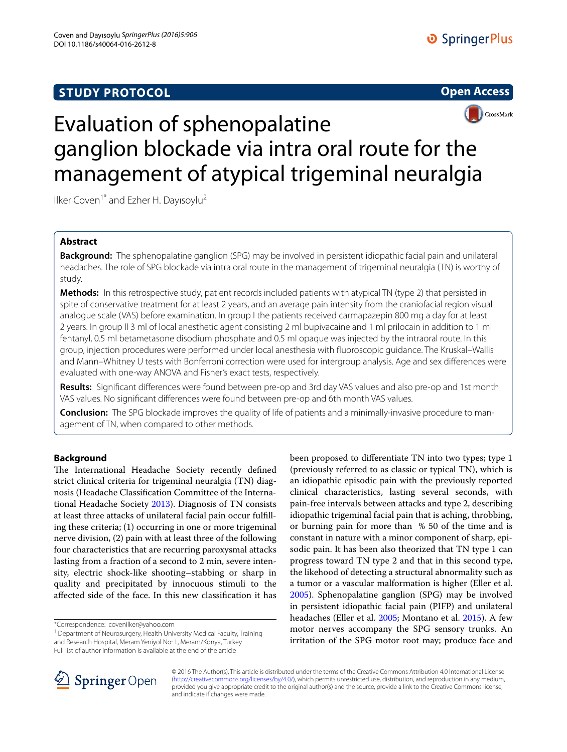## **STUDY PROTOCOL**





# Evaluation of sphenopalatine ganglion blockade via intra oral route for the management of atypical trigeminal neuralgia

Ilker Coven<sup>1\*</sup> and Ezher H. Dayısoylu<sup>2</sup>

## **Abstract**

**Background:** The sphenopalatine ganglion (SPG) may be involved in persistent idiopathic facial pain and unilateral headaches. The role of SPG blockade via intra oral route in the management of trigeminal neuralgia (TN) is worthy of study.

**Methods:** In this retrospective study, patient records included patients with atypical TN (type 2) that persisted in spite of conservative treatment for at least 2 years, and an average pain intensity from the craniofacial region visual analogue scale (VAS) before examination. In group I the patients received carmapazepin 800 mg a day for at least 2 years. In group II 3 ml of local anesthetic agent consisting 2 ml bupivacaine and 1 ml prilocain in addition to 1 ml fentanyl, 0.5 ml betametasone disodium phosphate and 0.5 ml opaque was injected by the intraoral route. In this group, injection procedures were performed under local anesthesia with fluoroscopic guidance. The Kruskal–Wallis and Mann–Whitney U tests with Bonferroni correction were used for intergroup analysis. Age and sex differences were evaluated with one-way ANOVA and Fisher's exact tests, respectively.

**Results:** Significant differences were found between pre-op and 3rd day VAS values and also pre-op and 1st month VAS values. No significant differences were found between pre-op and 6th month VAS values.

**Conclusion:** The SPG blockade improves the quality of life of patients and a minimally-invasive procedure to management of TN, when compared to other methods.

## **Background**

The International Headache Society recently defined strict clinical criteria for trigeminal neuralgia (TN) diagnosis (Headache Classification Committee of the International Headache Society [2013\)](#page-4-0). Diagnosis of TN consists at least three attacks of unilateral facial pain occur fulfilling these criteria; (1) occurring in one or more trigeminal nerve division, (2) pain with at least three of the following four characteristics that are recurring paroxysmal attacks lasting from a fraction of a second to 2 min, severe intensity, electric shock-like shooting–stabbing or sharp in quality and precipitated by innocuous stimuli to the affected side of the face. In this new classification it has

\*Correspondence: covenilker@yahoo.com

<sup>1</sup> Department of Neurosurgery, Health University Medical Faculty, Training and Research Hospital, Meram Yeniyol No: 1, Meram/Konya, Turkey Full list of author information is available at the end of the article

been proposed to differentiate TN into two types; type 1 (previously referred to as classic or typical TN), which is an idiopathic episodic pain with the previously reported clinical characteristics, lasting several seconds, with pain-free intervals between attacks and type 2, describing idiopathic trigeminal facial pain that is aching, throbbing, or burning pain for more than % 50 of the time and is constant in nature with a minor component of sharp, episodic pain. It has been also theorized that TN type 1 can progress toward TN type 2 and that in this second type, the likehood of detecting a structural abnormality such as a tumor or a vascular malformation is higher (Eller et al. [2005](#page-4-1)). Sphenopalatine ganglion (SPG) may be involved in persistent idiopathic facial pain (PIFP) and unilateral headaches (Eller et al. [2005](#page-4-1); Montano et al. [2015\)](#page-4-2). A few motor nerves accompany the SPG sensory trunks. An irritation of the SPG motor root may; produce face and



© 2016 The Author(s). This article is distributed under the terms of the Creative Commons Attribution 4.0 International License [\(http://creativecommons.org/licenses/by/4.0/\)](http://creativecommons.org/licenses/by/4.0/), which permits unrestricted use, distribution, and reproduction in any medium, provided you give appropriate credit to the original author(s) and the source, provide a link to the Creative Commons license, and indicate if changes were made.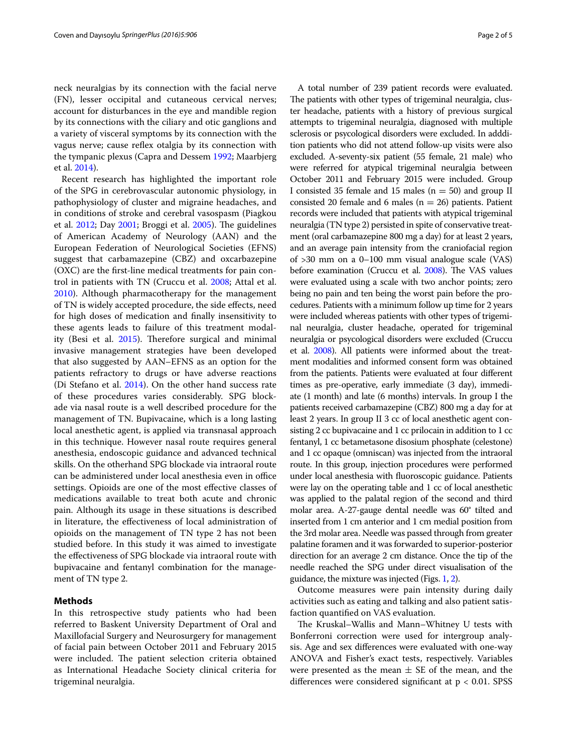neck neuralgias by its connection with the facial nerve (FN), lesser occipital and cutaneous cervical nerves; account for disturbances in the eye and mandible region by its connections with the ciliary and otic ganglions and a variety of visceral symptoms by its connection with the vagus nerve; cause reflex otalgia by its connection with the tympanic plexus (Capra and Dessem [1992;](#page-4-3) Maarbjerg et al. [2014\)](#page-4-4).

Recent research has highlighted the important role of the SPG in cerebrovascular autonomic physiology, in pathophysiology of cluster and migraine headaches, and in conditions of stroke and cerebral vasospasm (Piagkou et al. [2012;](#page-4-5) Day [2001;](#page-4-6) Broggi et al. [2005](#page-4-7)). The guidelines of American Academy of Neurology (AAN) and the European Federation of Neurological Societies (EFNS) suggest that carbamazepine (CBZ) and oxcarbazepine (OXC) are the first-line medical treatments for pain control in patients with TN (Cruccu et al. [2008](#page-4-8); Attal et al. [2010](#page-4-9)). Although pharmacotherapy for the management of TN is widely accepted procedure, the side effects, need for high doses of medication and finally insensitivity to these agents leads to failure of this treatment modality (Besi et al. [2015](#page-4-10)). Therefore surgical and minimal invasive management strategies have been developed that also suggested by AAN–EFNS as an option for the patients refractory to drugs or have adverse reactions (Di Stefano et al. [2014\)](#page-4-11). On the other hand success rate of these procedures varies considerably. SPG blockade via nasal route is a well described procedure for the management of TN. Bupivacaine, which is a long lasting local anesthetic agent, is applied via transnasal approach in this technique. However nasal route requires general anesthesia, endoscopic guidance and advanced technical skills. On the otherhand SPG blockade via intraoral route can be administered under local anesthesia even in office settings. Opioids are one of the most effective classes of medications available to treat both acute and chronic pain. Although its usage in these situations is described in literature, the effectiveness of local administration of opioids on the management of TN type 2 has not been studied before. In this study it was aimed to investigate the effectiveness of SPG blockade via intraoral route with bupivacaine and fentanyl combination for the management of TN type 2.

## **Methods**

In this retrospective study patients who had been referred to Baskent University Department of Oral and Maxillofacial Surgery and Neurosurgery for management of facial pain between October 2011 and February 2015 were included. The patient selection criteria obtained as International Headache Society clinical criteria for trigeminal neuralgia.

A total number of 239 patient records were evaluated. The patients with other types of trigeminal neuralgia, cluster headache, patients with a history of previous surgical attempts to trigeminal neuralgia, diagnosed with multiple sclerosis or psycological disorders were excluded. In adddition patients who did not attend follow-up visits were also excluded. A-seventy-six patient (55 female, 21 male) who were referred for atypical trigeminal neuralgia between October 2011 and February 2015 were included. Group I consisted 35 female and 15 males ( $n = 50$ ) and group II consisted 20 female and 6 males ( $n = 26$ ) patients. Patient records were included that patients with atypical trigeminal neuralgia (TN type 2) persisted in spite of conservative treatment (oral carbamazepine 800 mg a day) for at least 2 years, and an average pain intensity from the craniofacial region of >30 mm on a 0–100 mm visual analogue scale (VAS) before examination (Cruccu et al. [2008\)](#page-4-8). The VAS values were evaluated using a scale with two anchor points; zero being no pain and ten being the worst pain before the procedures. Patients with a minimum follow up time for 2 years were included whereas patients with other types of trigeminal neuralgia, cluster headache, operated for trigeminal neuralgia or psycological disorders were excluded (Cruccu et al. [2008\)](#page-4-8). All patients were informed about the treatment modalities and informed consent form was obtained from the patients. Patients were evaluated at four different times as pre-operative, early immediate (3 day), immediate (1 month) and late (6 months) intervals. In group I the patients received carbamazepine (CBZ) 800 mg a day for at least 2 years. In group II 3 cc of local anesthetic agent consisting 2 cc bupivacaine and 1 cc prilocain in addition to 1 cc fentanyl, 1 cc betametasone disosium phosphate (celestone) and 1 cc opaque (omniscan) was injected from the intraoral route. In this group, injection procedures were performed under local anesthesia with fluoroscopic guidance. Patients were lay on the operating table and 1 cc of local anesthetic was applied to the palatal region of the second and third molar area. A-27-gauge dental needle was 60° tilted and inserted from 1 cm anterior and 1 cm medial position from the 3rd molar area. Needle was passed through from greater palatine foramen and it was forwarded to superior-posterior direction for an average 2 cm distance. Once the tip of the needle reached the SPG under direct visualisation of the guidance, the mixture was injected (Figs. [1](#page-2-0), [2](#page-2-1)).

Outcome measures were pain intensity during daily activities such as eating and talking and also patient satisfaction quantified on VAS evaluation.

The Kruskal–Wallis and Mann–Whitney U tests with Bonferroni correction were used for intergroup analysis. Age and sex differences were evaluated with one-way ANOVA and Fisher's exact tests, respectively. Variables were presented as the mean  $\pm$  SE of the mean, and the differences were considered significant at p < 0.01. SPSS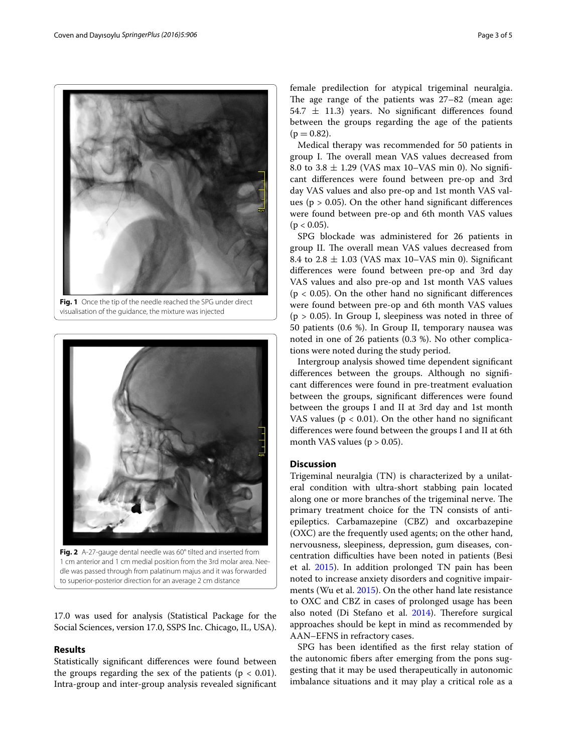

**Fig. 1** Once the tip of the needle reached the SPG under direct visualisation of the guidance, the mixture was injected

<span id="page-2-0"></span>

**Fig. 2** A-27-gauge dental needle was 60° tilted and inserted from 1 cm anterior and 1 cm medial position from the 3rd molar area. Needle was passed through from palatinum majus and it was forwarded to superior-posterior direction for an average 2 cm distance

<span id="page-2-1"></span>17.0 was used for analysis (Statistical Package for the Social Sciences, version 17.0, SSPS Inc. Chicago, IL, USA).

## **Results**

Statistically significant differences were found between the groups regarding the sex of the patients ( $p < 0.01$ ). Intra-group and inter-group analysis revealed significant female predilection for atypical trigeminal neuralgia. The age range of the patients was 27–82 (mean age: 54.7  $\pm$  11.3) years. No significant differences found between the groups regarding the age of the patients  $(p = 0.82)$ .

Medical therapy was recommended for 50 patients in group I. The overall mean VAS values decreased from 8.0 to 3.8  $\pm$  1.29 (VAS max 10–VAS min 0). No significant differences were found between pre-op and 3rd day VAS values and also pre-op and 1st month VAS values ( $p > 0.05$ ). On the other hand significant differences were found between pre-op and 6th month VAS values  $(p < 0.05)$ .

SPG blockade was administered for 26 patients in group II. The overall mean VAS values decreased from 8.4 to  $2.8 \pm 1.03$  (VAS max 10–VAS min 0). Significant differences were found between pre-op and 3rd day VAS values and also pre-op and 1st month VAS values  $(p < 0.05)$ . On the other hand no significant differences were found between pre-op and 6th month VAS values  $(p > 0.05)$ . In Group I, sleepiness was noted in three of 50 patients (0.6 %). In Group II, temporary nausea was noted in one of 26 patients (0.3 %). No other complications were noted during the study period.

Intergroup analysis showed time dependent significant differences between the groups. Although no significant differences were found in pre-treatment evaluation between the groups, significant differences were found between the groups I and II at 3rd day and 1st month VAS values ( $p < 0.01$ ). On the other hand no significant differences were found between the groups I and II at 6th month VAS values ( $p > 0.05$ ).

## **Discussion**

Trigeminal neuralgia (TN) is characterized by a unilateral condition with ultra-short stabbing pain located along one or more branches of the trigeminal nerve. The primary treatment choice for the TN consists of antiepileptics. Carbamazepine (CBZ) and oxcarbazepine (OXC) are the frequently used agents; on the other hand, nervousness, sleepiness, depression, gum diseases, concentration difficulties have been noted in patients (Besi et al. [2015\)](#page-4-10). In addition prolonged TN pain has been noted to increase anxiety disorders and cognitive impairments (Wu et al. [2015\)](#page-4-12). On the other hand late resistance to OXC and CBZ in cases of prolonged usage has been also noted (Di Stefano et al. [2014](#page-4-11)). Therefore surgical approaches should be kept in mind as recommended by AAN–EFNS in refractory cases.

SPG has been identified as the first relay station of the autonomic fibers after emerging from the pons suggesting that it may be used therapeutically in autonomic imbalance situations and it may play a critical role as a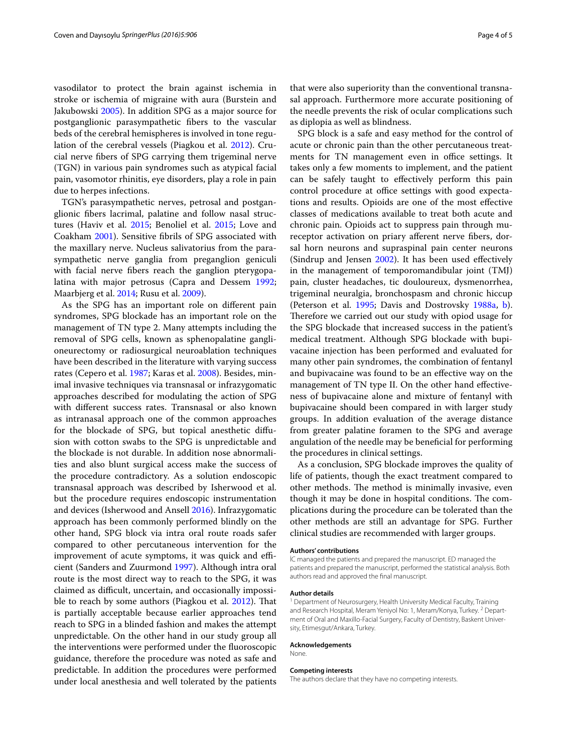vasodilator to protect the brain against ischemia in stroke or ischemia of migraine with aura (Burstein and Jakubowski [2005\)](#page-4-13). In addition SPG as a major source for postganglionic parasympathetic fibers to the vascular beds of the cerebral hemispheres is involved in tone regulation of the cerebral vessels (Piagkou et al. [2012](#page-4-5)). Crucial nerve fibers of SPG carrying them trigeminal nerve (TGN) in various pain syndromes such as atypical facial pain, vasomotor rhinitis, eye disorders, play a role in pain due to herpes infections.

TGN's parasympathetic nerves, petrosal and postganglionic fibers lacrimal, palatine and follow nasal structures (Haviv et al. [2015;](#page-4-14) Benoliel et al. [2015](#page-4-15); Love and Coakham [2001](#page-4-16)). Sensitive fibrils of SPG associated with the maxillary nerve. Nucleus salivatorius from the parasympathetic nerve ganglia from preganglion geniculi with facial nerve fibers reach the ganglion pterygopalatina with major petrosus (Capra and Dessem [1992](#page-4-3); Maarbjerg et al. [2014;](#page-4-4) Rusu et al. [2009](#page-4-17)).

As the SPG has an important role on different pain syndromes, SPG blockade has an important role on the management of TN type 2. Many attempts including the removal of SPG cells, known as sphenopalatine ganglioneurectomy or radiosurgical neuroablation techniques have been described in the literature with varying success rates (Cepero et al. [1987;](#page-4-18) Karas et al. [2008](#page-4-19)). Besides, minimal invasive techniques via transnasal or infrazygomatic approaches described for modulating the action of SPG with different success rates. Transnasal or also known as intranasal approach one of the common approaches for the blockade of SPG, but topical anesthetic diffusion with cotton swabs to the SPG is unpredictable and the blockade is not durable. In addition nose abnormalities and also blunt surgical access make the success of the procedure contradictory. As a solution endoscopic transnasal approach was described by Isherwood et al. but the procedure requires endoscopic instrumentation and devices (Isherwood and Ansell [2016](#page-4-20)). Infrazygomatic approach has been commonly performed blindly on the other hand, SPG block via intra oral route roads safer compared to other percutaneous intervention for the improvement of acute symptoms, it was quick and efficient (Sanders and Zuurmond [1997\)](#page-4-21). Although intra oral route is the most direct way to reach to the SPG, it was claimed as difficult, uncertain, and occasionally impossible to reach by some authors (Piagkou et al. [2012](#page-4-5)). That is partially acceptable because earlier approaches tend reach to SPG in a blinded fashion and makes the attempt unpredictable. On the other hand in our study group all the interventions were performed under the fluoroscopic guidance, therefore the procedure was noted as safe and predictable. In addition the procedures were performed under local anesthesia and well tolerated by the patients that were also superiority than the conventional transnasal approach. Furthermore more accurate positioning of the needle prevents the risk of ocular complications such as diplopia as well as blindness.

SPG block is a safe and easy method for the control of acute or chronic pain than the other percutaneous treatments for TN management even in office settings. It takes only a few moments to implement, and the patient can be safely taught to effectively perform this pain control procedure at office settings with good expectations and results. Opioids are one of the most effective classes of medications available to treat both acute and chronic pain. Opioids act to suppress pain through mureceptor activation on priary afferent nerve fibers, dorsal horn neurons and supraspinal pain center neurons (Sindrup and Jensen [2002\)](#page-4-22). It has been used effectively in the management of temporomandibular joint (TMJ) pain, cluster headaches, tic douloureux, dysmenorrhea, trigeminal neuralgia, bronchospasm and chronic hiccup (Peterson et al. [1995](#page-4-23); Davis and Dostrovsky [1988a](#page-4-24), [b](#page-4-25)). Therefore we carried out our study with opiod usage for the SPG blockade that increased success in the patient's medical treatment. Although SPG blockade with bupivacaine injection has been performed and evaluated for many other pain syndromes, the combination of fentanyl and bupivacaine was found to be an effective way on the management of TN type II. On the other hand effectiveness of bupivacaine alone and mixture of fentanyl with bupivacaine should been compared in with larger study groups. In addition evaluation of the average distance from greater palatine foramen to the SPG and average angulation of the needle may be beneficial for performing the procedures in clinical settings.

As a conclusion, SPG blockade improves the quality of life of patients, though the exact treatment compared to other methods. The method is minimally invasive, even though it may be done in hospital conditions. The complications during the procedure can be tolerated than the other methods are still an advantage for SPG. Further clinical studies are recommended with larger groups.

#### **Authors' contributions**

İC managed the patients and prepared the manuscript. ED managed the patients and prepared the manuscript, performed the statistical analysis. Both authors read and approved the final manuscript.

#### **Author details**

<sup>1</sup> Department of Neurosurgery, Health University Medical Faculty, Training and Research Hospital, Meram Yeniyol No: 1, Meram/Konya, Turkey. <sup>2</sup> Department of Oral and Maxillo-Facial Surgery, Faculty of Dentistry, Baskent University, Etimesgut/Ankara, Turkey.

#### **Acknowledgements**

None.

#### **Competing interests**

The authors declare that they have no competing interests.